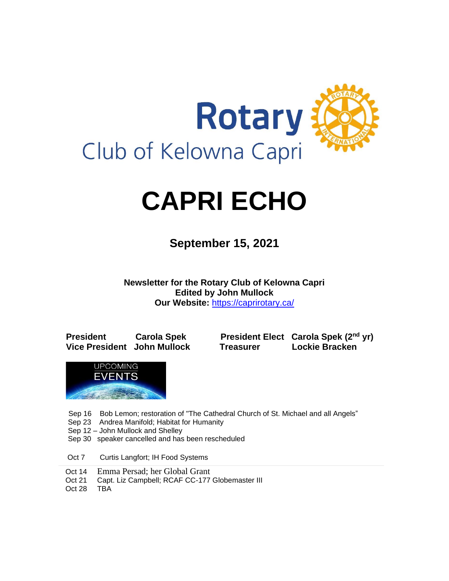

# **CAPRI ECHO**

 **September 15, <sup>2021</sup>**

**Newsletter for the Rotary Club of Kelowna Capri Edited by John Mullock Our Website:** <https://caprirotary.ca/>

**President Carola Spek President Elect Carola Spek (2nd yr) Vice President John Mullock Treasurer Lockie Bracken**



Sep 16 Bob Lemon; restoration of "The Cathedral Church of St. Michael and all Angels"

- Sep 23 Andrea Manifold; Habitat for Humanity
- Sep 12 John Mullock and Shelley
- Sep 30 speaker cancelled and has been rescheduled
- Oct 7 Curtis Langfort; IH Food Systems
- Oct 14 Emma Persad; her Global Grant
- Oct 21 Capt. Liz Campbell; RCAF CC-177 Globemaster III
- Oct 28 TBA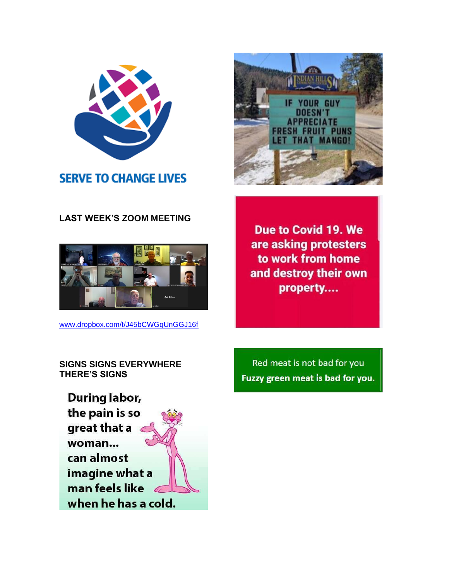

# **SERVE TO CHANGE LIVES**

# **LAST WEEK'S ZOOM MEETING**



[www.dropbox.com/t/J45bCWGqUnGGJ16f](http://www.dropbox.com/t/J45bCWGqUnGGJ16f)



**Due to Covid 19. We** are asking protesters to work from home and destroy their own property....

**SIGNS SIGNS EVERYWHERE THERE'S SIGNS**

**During labor,** the pain is so great that a woman... can almost imagine what a man feels like when he has a cold.

Red meat is not bad for you Fuzzy green meat is bad for you.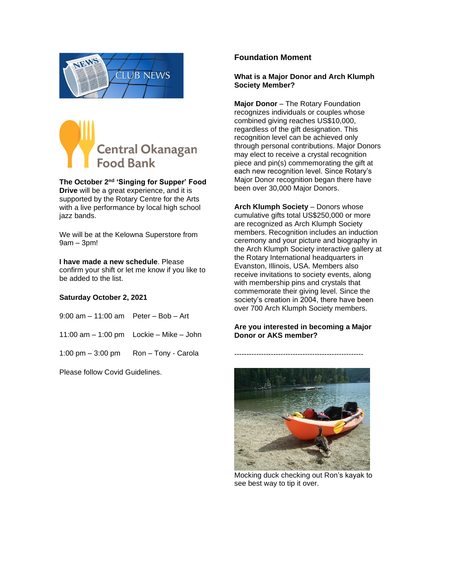



**The October 2nd 'Singing for Supper' Food Drive** will be a great experience, and it is supported by the Rotary Centre for the Arts with a live performance by local high school jazz bands.

We will be at the Kelowna Superstore from 9am – 3pm!

#### **I have made a new schedule**. Please

confirm your shift or let me know if you like to be added to the list.

#### **Saturday October 2, 2021**

| $9:00$ am $-11:00$ am Peter $-$ Bob $-$ Art |                                               |
|---------------------------------------------|-----------------------------------------------|
|                                             | 11:00 am $-$ 1:00 pm Lockie $-$ Mike $-$ John |
|                                             | 1:00 pm $-$ 3:00 pm Ron $-$ Tony - Carola     |

Please follow Covid Guidelines.

#### **Foundation Moment**

#### **What is a Major Donor and Arch Klumph Society Member?**

**Major Donor** – The Rotary Foundation recognizes individuals or couples whose combined giving reaches US\$10,000, regardless of the gift designation. This recognition level can be achieved only through personal contributions. Major Donors may elect to receive a crystal recognition piece and pin(s) commemorating the gift at each new recognition level. Since Rotary's Major Donor recognition began there have been over 30,000 Major Donors.

**Arch Klumph Society – Donors whose** cumulative gifts total US\$250,000 or more are recognized as Arch Klumph Society members. Recognition includes an induction ceremony and your picture and biography in the Arch Klumph Society interactive gallery at the Rotary International headquarters in Evanston, Illinois, USA. Members also receive invitations to society events, along with membership pins and crystals that commemorate their giving level. Since the society's creation in 2004, there have been over 700 Arch Klumph Society members.

#### **Are you interested in becoming a Major Donor or AKS member?**

-----------------------------------------------------



Mocking duck checking out Ron's kayak to see best way to tip it over.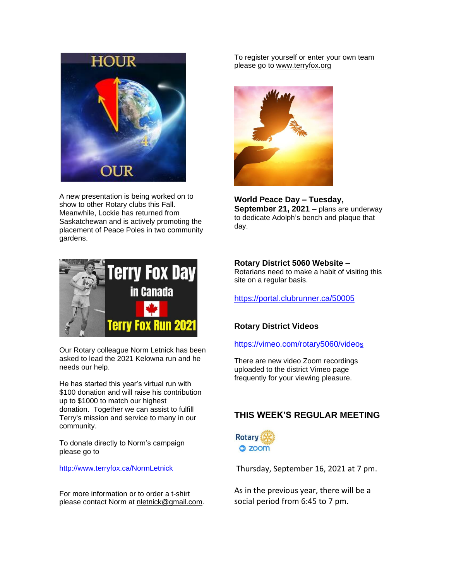

A new presentation is being worked on to show to other Rotary clubs this Fall. Meanwhile, Lockie has returned from Saskatchewan and is actively promoting the placement of Peace Poles in two community gardens.



Our Rotary colleague Norm Letnick has been asked to lead the 2021 Kelowna run and he needs our help.

He has started this year's virtual run with \$100 donation and will raise his contribution up to \$1000 to match our highest donation. Together we can assist to fulfill Terry's mission and service to many in our community.

To donate directly to Norm's campaign please go to

<http://www.terryfox.ca/NormLetnick>

For more information or to order a t-shirt please contact Norm at [nletnick@gmail.com.](mailto:nletnick@gmail.com) To register yourself or enter your own team please go to [www.terryfox.org](http://www.terryfox.org/)



**World Peace Day – Tuesday, September 21, 2021 –** plans are underway to dedicate Adolph's bench and plaque that day.

#### **Rotary District 5060 Website –**

Rotarians need to make a habit of visiting this site on a regular basis.

<https://portal.clubrunner.ca/50005>

#### **Rotary District Videos**

[https://vimeo.com/rotary5060/video](https://vimeo.com/rotary5060/videos)[s](https://vimeo.com/rotary5060/videos)

There are new video Zoom recordings uploaded to the district Vimeo page frequently for your viewing pleasure.

# **THIS WEEK'S REGULAR MEETING**



Thursday, September 16, 2021 at 7 pm.

As in the previous year, there will be a social period from 6:45 to 7 pm.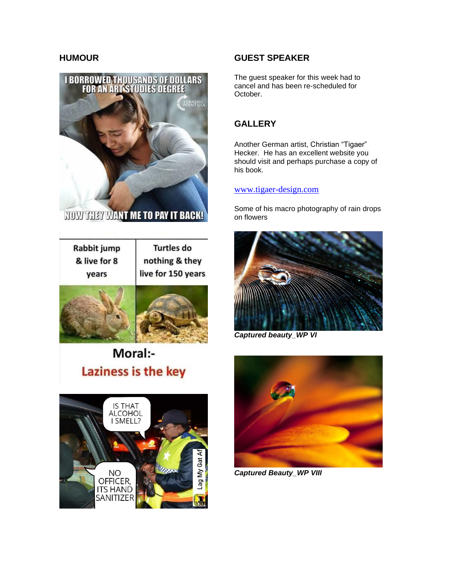

**NOW THEY WANT ME TO PAY IT BACK!** 

| Rabbit jump  | <b>Turtles do</b>  |
|--------------|--------------------|
| & live for 8 | nothing & they     |
| years        | live for 150 years |
|              |                    |



Moral:-Laziness is the key



# **HUMOUR GUEST SPEAKER**

The guest speaker for this week had to cancel and has been re-scheduled for October.

# **GALLERY**

Another German artist, Christian "Tigaer" Hecker. He has an excellent website you should visit and perhaps purchase a copy of his book.

### [www.tigaer-design.com](http://www.tigaer-design.com/)

Some of his macro photography of rain drops on flowers



*Captured beauty\_WP VI*



*Captured Beauty\_WP VIII*